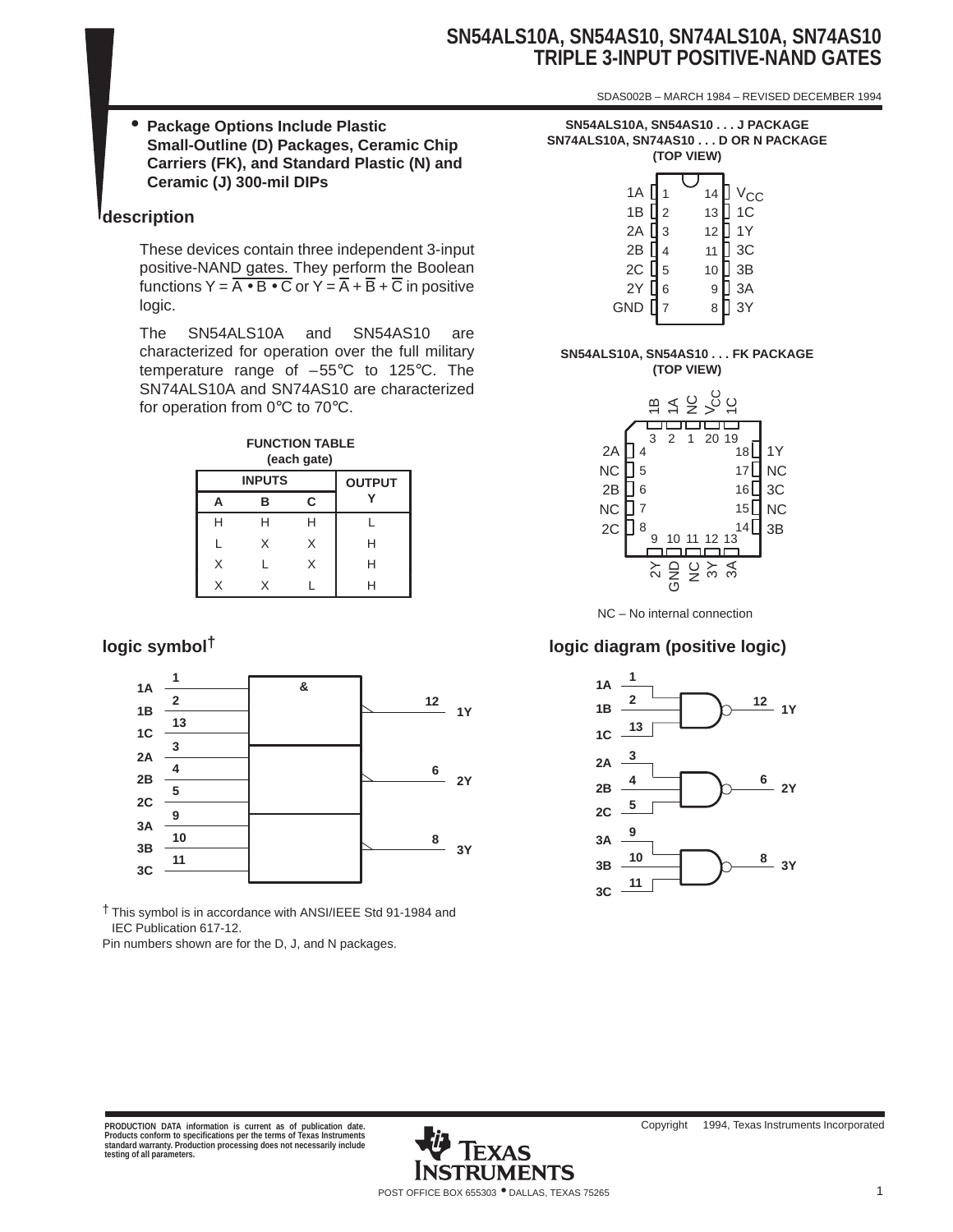# **SN54ALS10A, SN54AS10, SN74ALS10A, SN74AS10 TRIPLE 3-INPUT POSITIVE-NAND GATES**

SDAS002B – MARCH 1984 – REVISED DECEMBER 1994

• **Package Options Include Plastic Small-Outline (D) Packages, Ceramic Chip Carriers (FK), and Standard Plastic (N) and Ceramic (J) 300-mil DIPs**

## **description**

These devices contain three independent 3-input positive-NAND gates. They perform the Boolean functions  $Y = \overline{A \cdot B \cdot C}$  or  $Y = \overline{A} + \overline{B} + \overline{C}$  in positive logic.

The SN54ALS10A and SN54AS10 are characterized for operation over the full military temperature range of –55°C to 125°C. The SN74ALS10A and SN74AS10 are characterized for operation from 0°C to 70°C.



|   | <b>INPUTS</b> |              | <b>OUTPUT</b> |
|---|---------------|--------------|---------------|
| А | в             | C            |               |
| Н |               | $\mathsf{H}$ |               |
|   | x             | X            | Н             |
| X |               | X            | Н             |
| Χ |               |              |               |



† This symbol is in accordance with ANSI/IEEE Std 91-1984 and IEC Publication 617-12.

Pin numbers shown are for the D, J, and N packages.

**SN54ALS10A, SN54AS10 . . . J PACKAGE SN74ALS10A, SN74AS10 . . . D OR N PACKAGE (TOP VIEW)**

|                                                                                  |                                                | - <b>- - - -</b> - -            |                                                                                          |
|----------------------------------------------------------------------------------|------------------------------------------------|---------------------------------|------------------------------------------------------------------------------------------|
| 1A  <br>1B $\prod$ <sub>2</sub><br>2A<br>2B<br>$2C$ $\boxed{5}$<br>2Y <b>∫</b> 6 | 1<br>$\overline{3}$<br>$\overline{\mathbf{4}}$ | 14<br>13<br>12<br>11<br>10<br>9 | ] V <sub>CC</sub><br>] 1C<br>$\sqrt{ }$ 1Y<br>$\frac{1}{2}$ 3C<br>$]$ 3B<br>] 3A<br>] 3Y |
| $GND$ $\Box$                                                                     | $\overline{7}$                                 | 8                               |                                                                                          |
|                                                                                  |                                                |                                 |                                                                                          |

#### **SN54ALS10A, SN54AS10 . . . FK PACKAGE (TOP VIEW)**



## **logic symbol† logic diagram (positive logic)**



PRODUCTION DATA information is current as of publication date.<br>Products conform to specifications per the terms of Texas Instruments<br>standard warranty. Production processing does not necessarily include<br>testing of all para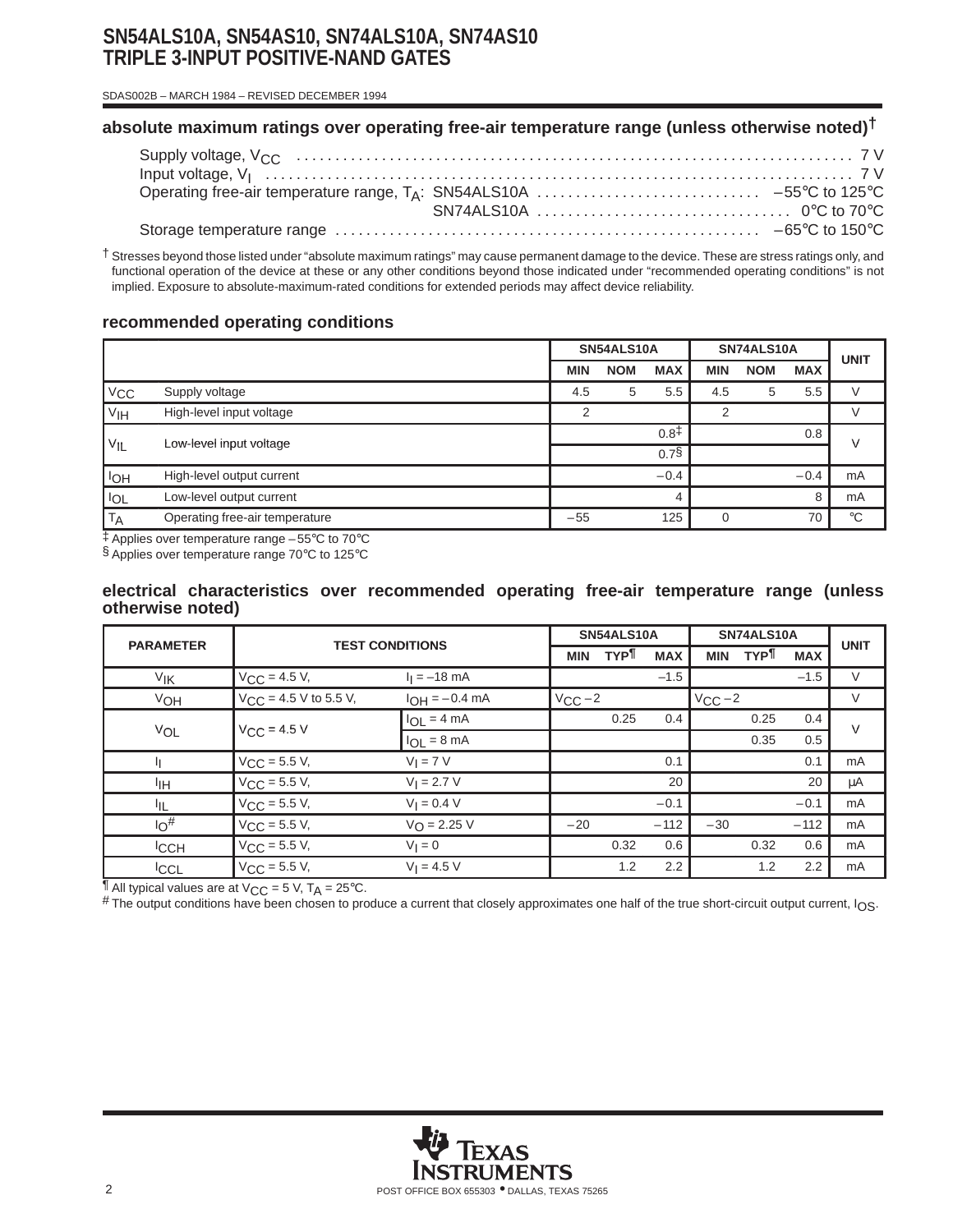# **SN54ALS10A, SN54AS10, SN74ALS10A, SN74AS10 TRIPLE 3-INPUT POSITIVE-NAND GATES**

SDAS002B – MARCH 1984 – REVISED DECEMBER 1994

## **absolute maximum ratings over operating free-air temperature range (unless otherwise noted)†**

† Stresses beyond those listed under "absolute maximum ratings" may cause permanent damage to the device. These are stress ratings only, and functional operation of the device at these or any other conditions beyond those indicated under "recommended operating conditions" is not implied. Exposure to absolute-maximum-rated conditions for extended periods may affect device reliability.

### **recommended operating conditions**

|                       |                                | SN54ALS10A     |            | SN74ALS10A       |               |            | <b>UNIT</b> |             |
|-----------------------|--------------------------------|----------------|------------|------------------|---------------|------------|-------------|-------------|
|                       |                                | <b>MIN</b>     | <b>NOM</b> | <b>MAX</b>       | <b>MIN</b>    | <b>NOM</b> | <b>MAX</b>  |             |
| V <sub>CC</sub>       | Supply voltage                 | 4.5            | 5          | 5.5              | 4.5           | 5          | 5.5         | V           |
| V <sub>IH</sub>       | High-level input voltage       | $\overline{2}$ |            |                  | $\mathcal{P}$ |            |             | V           |
|                       | Low-level input voltage        |                |            | 0.8 <sup>†</sup> |               |            | 0.8         | $\vee$      |
| $V_{IL}$              |                                |                |            | 0.7 <sup>5</sup> |               |            |             |             |
| <b>I<sub>OH</sub></b> | High-level output current      |                |            | $-0.4$           |               |            | $-0.4$      | mA          |
| <b>IOL</b>            | Low-level output current       |                |            |                  |               |            | 8           | mA          |
| <b>TA</b>             | Operating free-air temperature | $-55$          |            | 125              | O             |            | 70          | $^{\circ}C$ |

‡ Applies over temperature range –55°C to 70°C

§ Applies over temperature range 70°C to 125°C

#### **electrical characteristics over recommended operating free-air temperature range (unless otherwise noted)**

| <b>PARAMETER</b>  |                            |                         |             | SN54ALS10A |            |             | SN74ALS10A |            |             |  |
|-------------------|----------------------------|-------------------------|-------------|------------|------------|-------------|------------|------------|-------------|--|
|                   | <b>TEST CONDITIONS</b>     |                         | <b>MIN</b>  | TYP¶       | <b>MAX</b> | <b>MIN</b>  | <b>TYP</b> | <b>MAX</b> | <b>UNIT</b> |  |
| $V_{\mathsf{IK}}$ | $V_{\text{CC}} = 4.5 V,$   | $I_1 = -18$ mA          |             |            | $-1.5$     |             |            | $-1.5$     | $\vee$      |  |
| VOH               | $V_{CC}$ = 4.5 V to 5.5 V, | $I_{OH} = -0.4$ mA      | $V_{CC}$ -2 |            |            | $V_{CC}$ -2 |            |            | $\vee$      |  |
|                   | $V_{CC}$ = 4.5 V           | $I_{OL} = 4 mA$         |             | 0.25       | 0.4        |             | 0.25       | 0.4        | $\vee$      |  |
| VOL               |                            | $I_{OL} = 8 \text{ mA}$ |             |            |            |             | 0.35       | 0.5        |             |  |
|                   | $V_{CC}$ = 5.5 V,          | $V_I = 7 V$             |             |            | 0.1        |             |            | 0.1        | mA          |  |
| ŀıн               | $V_{\text{CC}} = 5.5 V,$   | $V_1 = 2.7 V$           |             |            | 20         |             |            | 20         | μA          |  |
| ЧĿ                | $V_{\text{CC}} = 5.5 V,$   | $V_1 = 0.4 V$           |             |            | $-0.1$     |             |            | $-0.1$     | mA          |  |
| $10^{#}$          | $V_{\text{CC}} = 5.5 V,$   | $V_{\Omega} = 2.25 V$   | $-20$       |            | $-112$     | $-30$       |            | $-112$     | mA          |  |
| <b>ICCH</b>       | $V_{\text{CC}} = 5.5 V,$   | $V_1 = 0$               |             | 0.32       | 0.6        |             | 0.32       | 0.6        | mA          |  |
| <b>CCL</b>        | $V_{\rm CC}$ = 5.5 V,      | $V_1 = 4.5 V$           |             | 1.2        | 2.2        |             | 1.2        | 2.2        | mA          |  |

 $\frac{1}{2}$  All typical values are at V<sub>CC</sub> = 5 V, T<sub>A</sub> = 25°C.

# The output conditions have been chosen to produce a current that closely approximates one half of the true short-circuit output current,  $I_{OS}$ .

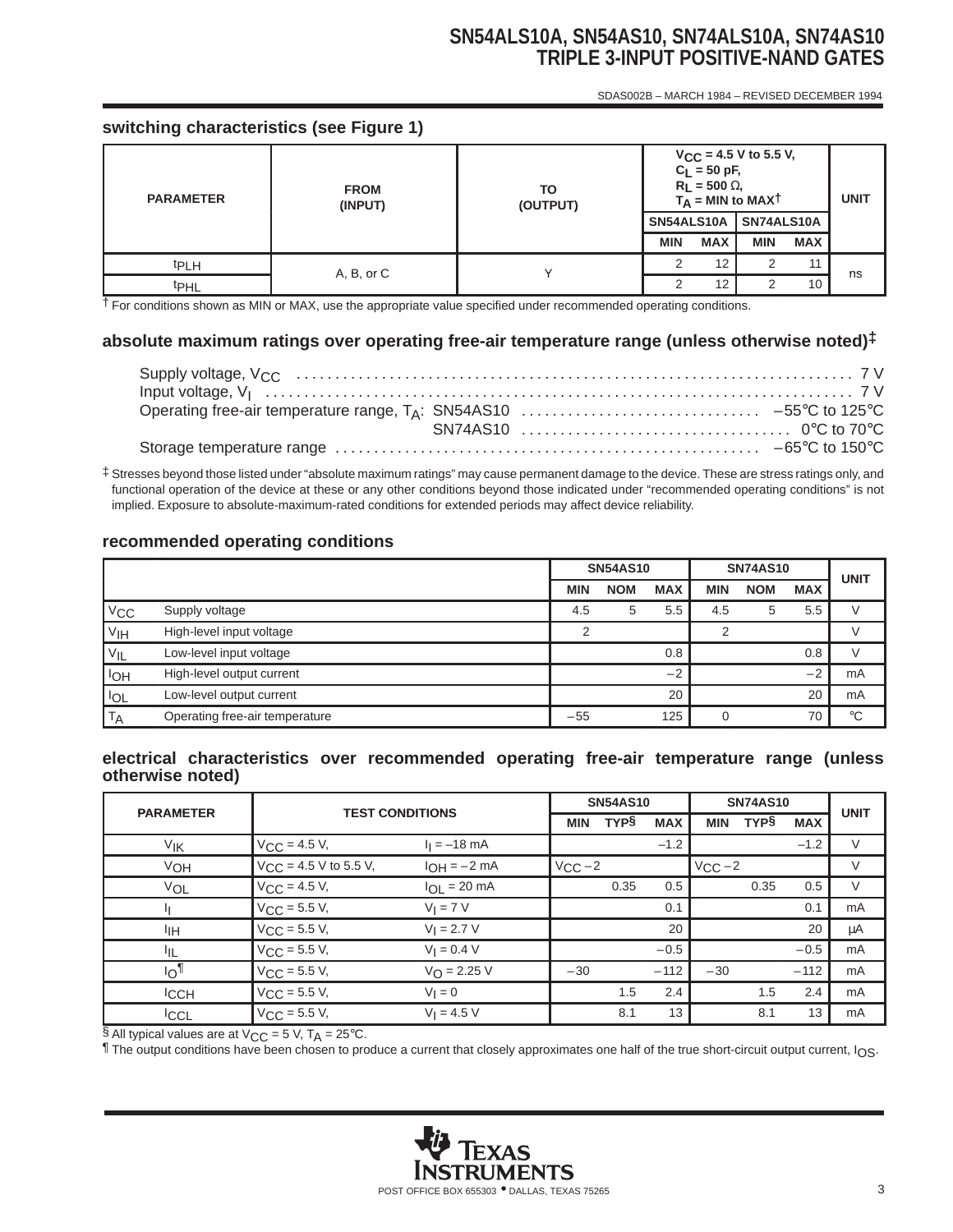# **SN54ALS10A, SN54AS10, SN74ALS10A, SN74AS10 TRIPLE 3-INPUT POSITIVE-NAND GATES**

SDAS002B – MARCH 1984 – REVISED DECEMBER 1994

## **switching characteristics (see Figure 1)**

| <b>PARAMETER</b> | <b>FROM</b><br>(INPUT) | TO<br>(OUTPUT) | $V_{CC}$ = 4.5 V to 5.5 V,<br>$C_L = 50$ pF,<br>$R_L$ = 500 $\Omega$ ,<br>$T_A$ = MIN to MAXT | <b>UNIT</b> |            |            |    |
|------------------|------------------------|----------------|-----------------------------------------------------------------------------------------------|-------------|------------|------------|----|
|                  |                        |                | SN54ALS10A                                                                                    |             | SN74ALS10A |            |    |
|                  |                        |                | <b>MIN</b>                                                                                    | <b>MAX</b>  | <b>MIN</b> | <b>MAX</b> |    |
| <sup>t</sup> PLH | A, B, or C             |                |                                                                                               | 12          | 2          | 11         | ns |
| <b>t</b> PHL     |                        |                |                                                                                               | 12          | っ          | 10         |    |

† For conditions shown as MIN or MAX, use the appropriate value specified under recommended operating conditions.

## **absolute maximum ratings over operating free-air temperature range (unless otherwise noted)‡**

‡ Stresses beyond those listed under "absolute maximum ratings" may cause permanent damage to the device. These are stress ratings only, and functional operation of the device at these or any other conditions beyond those indicated under "recommended operating conditions" is not implied. Exposure to absolute-maximum-rated conditions for extended periods may affect device reliability.

### **recommended operating conditions**

|                 |                                | <b>SN54AS10</b> |            | <b>SN74AS10</b> | <b>UNIT</b> |            |            |               |
|-----------------|--------------------------------|-----------------|------------|-----------------|-------------|------------|------------|---------------|
|                 |                                | <b>MIN</b>      | <b>NOM</b> | <b>MAX</b>      | MIN         | <b>NOM</b> | <b>MAX</b> |               |
| $V_{\rm CC}$    | Supply voltage                 | 4.5             | 5          | 5.5             | 4.5         | 5          | 5.5        | $\mathcal{L}$ |
| V <sub>IH</sub> | High-level input voltage       | っ               |            |                 | ⌒           |            |            |               |
| $V_{IL}$        | Low-level input voltage        |                 |            | 0.8             |             |            | 0.8        |               |
| loh             | High-level output current      |                 |            | $-2$            |             |            | $-2$       | mA            |
| <b>IOL</b>      | Low-level output current       |                 |            | 20              |             |            | 20         | mA            |
| T <sub>A</sub>  | Operating free-air temperature | $-55$           |            | 125             |             |            | 70         | $^{\circ}C$   |

### **electrical characteristics over recommended operating free-air temperature range (unless otherwise noted)**

| <b>PARAMETER</b> | <b>TEST CONDITIONS</b>     |                         |             | <b>SN54AS10</b> |            |             | <b>SN74AS10</b> |            |             |  |
|------------------|----------------------------|-------------------------|-------------|-----------------|------------|-------------|-----------------|------------|-------------|--|
|                  |                            |                         | <b>MIN</b>  | <b>TYPS</b>     | <b>MAX</b> | <b>MIN</b>  | <b>TYPS</b>     | <b>MAX</b> | <b>UNIT</b> |  |
| V <sub>IK</sub>  | $V_{CC}$ = 4.5 V,          | $I_1 = -18$ mA          |             |                 | $-1.2$     |             |                 | $-1.2$     | V           |  |
| VOH              | $V_{CC}$ = 4.5 V to 5.5 V, | $I_{OH} = -2 mA$        | $V_{CC}$ -2 |                 |            | $V_{CC}$ -2 |                 |            | V           |  |
| VOL              | $V_{CC} = 4.5 V,$          | $I_{OL}$ = 20 mA        |             | 0.35            | 0.5        |             | 0.35            | 0.5        | V           |  |
| Щ                | $V_{CC}$ = 5.5 V,          | $V_I = 7 V$             |             |                 | 0.1        |             |                 | 0.1        | mA          |  |
| ŀщ               | $V_{CC}$ = 5.5 V,          | $V_1 = 2.7 V$           |             |                 | 20         |             |                 | 20         | μA          |  |
| ЧL               | $V_{CC}$ = 5.5 V,          | $V_1 = 0.4 V$           |             |                 | $-0.5$     |             |                 | $-0.5$     | mA          |  |
| $I_{\bigcirc}$   | $V_{CC}$ = 5.5 V,          | $V_{\text{O}} = 2.25 V$ | $-30$       |                 | $-112$     | $-30$       |                 | $-112$     | mA          |  |
| <b>ICCH</b>      | $V_{CC}$ = 5.5 V,          | $V_1 = 0$               |             | 1.5             | 2.4        |             | 1.5             | 2.4        | mA          |  |
| <b>ICCL</b>      | $V_{\rm CC}$ = 5.5 V,      | $V_1 = 4.5 V$           |             | 8.1             | 13         |             | 8.1             | 13         | mA          |  |

§ All typical values are at  $V_{CC}$  = 5 V, T<sub>A</sub> = 25°C.

¶ The output conditions have been chosen to produce a current that closely approximates one half of the true short-circuit output current, IOS.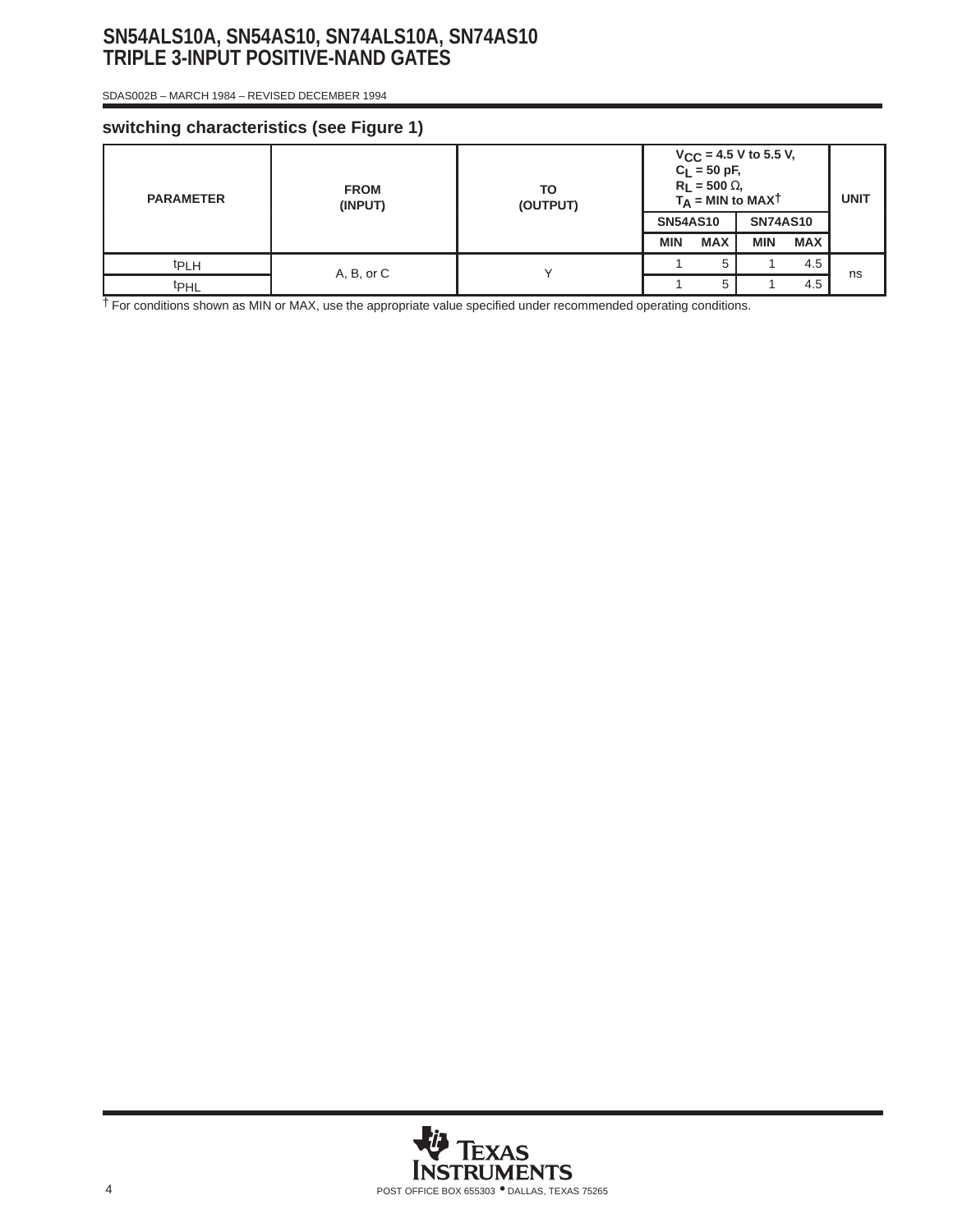# **SN54ALS10A, SN54AS10, SN74ALS10A, SN74AS10 TRIPLE 3-INPUT POSITIVE-NAND GATES**

SDAS002B – MARCH 1984 – REVISED DECEMBER 1994

## **switching characteristics (see Figure 1)**

| <b>PARAMETER</b> | <b>FROM</b><br>(INPUT) | ТО<br>(OUTPUT) | $V_{CC}$ = 4.5 V to 5.5 V,<br>$C_L = 50$ pF,<br>$R_L$ = 500 $\Omega$ ,<br>$T_A$ = MIN to MAXT | <b>UNIT</b> |                 |            |     |    |
|------------------|------------------------|----------------|-----------------------------------------------------------------------------------------------|-------------|-----------------|------------|-----|----|
|                  |                        |                | <b>SN54AS10</b>                                                                               |             | <b>SN74AS10</b> |            |     |    |
|                  |                        |                | <b>MIN</b>                                                                                    | <b>MAX</b>  | <b>MIN</b>      | <b>MAX</b> |     |    |
| <sup>t</sup> PLH | A, B, or C             |                |                                                                                               | 5           |                 | 4.5        |     |    |
| <b>t</b> PHL     |                        |                |                                                                                               |             | 5               |            | 4.5 | ns |

† For conditions shown as MIN or MAX, use the appropriate value specified under recommended operating conditions.